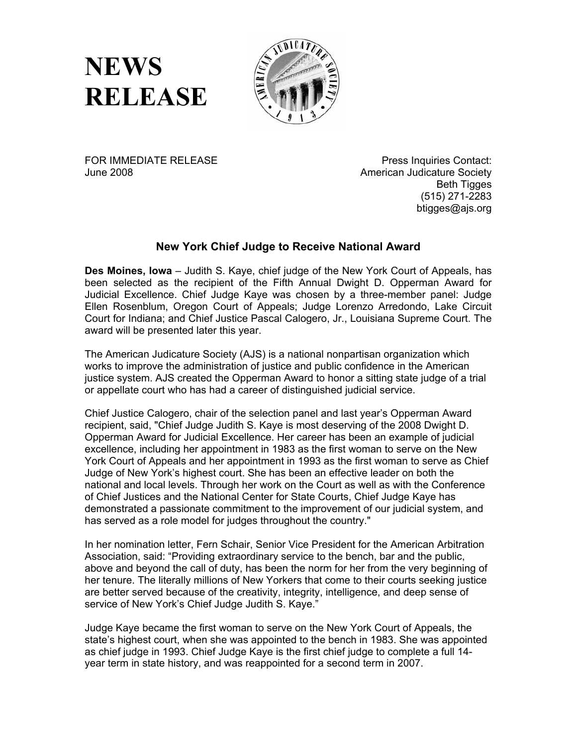**NEWS RELEASE**



FOR IMMEDIATE RELEASE June 2008

Press Inquiries Contact: American Judicature Society Beth Tigges (515) 271-2283 btigges@ajs.org

## **New York Chief Judge to Receive National Award**

**Des Moines, Iowa** – Judith S. Kaye, chief judge of the New York Court of Appeals, has been selected as the recipient of the Fifth Annual Dwight D. Opperman Award for Judicial Excellence. Chief Judge Kaye was chosen by a three-member panel: Judge Ellen Rosenblum, Oregon Court of Appeals; Judge Lorenzo Arredondo, Lake Circuit Court for Indiana; and Chief Justice Pascal Calogero, Jr., Louisiana Supreme Court. The award will be presented later this year.

The American Judicature Society (AJS) is a national nonpartisan organization which works to improve the administration of justice and public confidence in the American justice system. AJS created the Opperman Award to honor a sitting state judge of a trial or appellate court who has had a career of distinguished judicial service.

Chief Justice Calogero, chair of the selection panel and last year's Opperman Award recipient, said, "Chief Judge Judith S. Kaye is most deserving of the 2008 Dwight D. Opperman Award for Judicial Excellence. Her career has been an example of judicial excellence, including her appointment in 1983 as the first woman to serve on the New York Court of Appeals and her appointment in 1993 as the first woman to serve as Chief Judge of New York's highest court. She has been an effective leader on both the national and local levels. Through her work on the Court as well as with the Conference of Chief Justices and the National Center for State Courts, Chief Judge Kaye has demonstrated a passionate commitment to the improvement of our judicial system, and has served as a role model for judges throughout the country."

In her nomination letter, Fern Schair, Senior Vice President for the American Arbitration Association, said: "Providing extraordinary service to the bench, bar and the public, above and beyond the call of duty, has been the norm for her from the very beginning of her tenure. The literally millions of New Yorkers that come to their courts seeking justice are better served because of the creativity, integrity, intelligence, and deep sense of service of New York's Chief Judge Judith S. Kaye."

Judge Kaye became the first woman to serve on the New York Court of Appeals, the state's highest court, when she was appointed to the bench in 1983. She was appointed as chief judge in 1993. Chief Judge Kaye is the first chief judge to complete a full 14 year term in state history, and was reappointed for a second term in 2007.